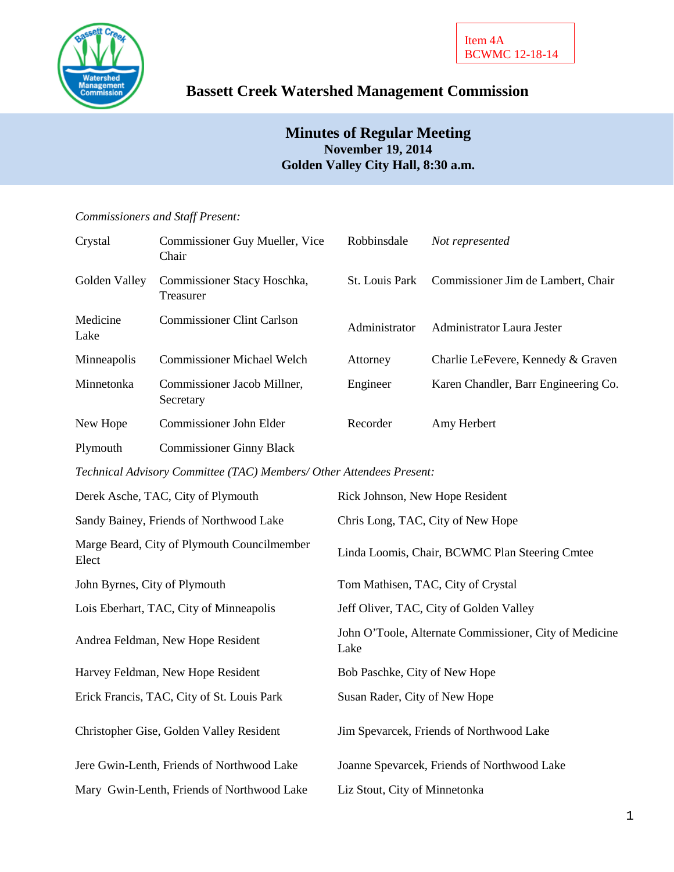

# **Bassett Creek Watershed Management Commission**

# **Minutes of Regular Meeting November 19, 2014 Golden Valley City Hall, 8:30 a.m.**

### *Commissioners and Staff Present:*

| Crystal                                                              | Commissioner Guy Mueller, Vice<br>Chair  | Robbinsdale                                                    | Not represented                      |  |  |  |
|----------------------------------------------------------------------|------------------------------------------|----------------------------------------------------------------|--------------------------------------|--|--|--|
| Golden Valley                                                        | Commissioner Stacy Hoschka,<br>Treasurer | St. Louis Park                                                 | Commissioner Jim de Lambert, Chair   |  |  |  |
| Medicine<br>Lake                                                     | <b>Commissioner Clint Carlson</b>        | Administrator                                                  | Administrator Laura Jester           |  |  |  |
| Minneapolis                                                          | <b>Commissioner Michael Welch</b>        | Attorney                                                       | Charlie LeFevere, Kennedy & Graven   |  |  |  |
| Minnetonka                                                           | Commissioner Jacob Millner,<br>Secretary | Engineer                                                       | Karen Chandler, Barr Engineering Co. |  |  |  |
| New Hope                                                             | Commissioner John Elder                  | Recorder                                                       | Amy Herbert                          |  |  |  |
| Plymouth                                                             | <b>Commissioner Ginny Black</b>          |                                                                |                                      |  |  |  |
| Technical Advisory Committee (TAC) Members/ Other Attendees Present: |                                          |                                                                |                                      |  |  |  |
| Derek Asche, TAC, City of Plymouth                                   |                                          | Rick Johnson, New Hope Resident                                |                                      |  |  |  |
| Sandy Bainey, Friends of Northwood Lake                              |                                          | Chris Long, TAC, City of New Hope                              |                                      |  |  |  |
| Marge Beard, City of Plymouth Councilmember<br>Elect                 |                                          | Linda Loomis, Chair, BCWMC Plan Steering Cmtee                 |                                      |  |  |  |
| John Byrnes, City of Plymouth                                        |                                          | Tom Mathisen, TAC, City of Crystal                             |                                      |  |  |  |
| Lois Eberhart, TAC, City of Minneapolis                              |                                          | Jeff Oliver, TAC, City of Golden Valley                        |                                      |  |  |  |
| Andrea Feldman, New Hope Resident                                    |                                          | John O'Toole, Alternate Commissioner, City of Medicine<br>Lake |                                      |  |  |  |
| Harvey Feldman, New Hope Resident                                    |                                          | Bob Paschke, City of New Hope                                  |                                      |  |  |  |
| Erick Francis, TAC, City of St. Louis Park                           |                                          | Susan Rader, City of New Hope                                  |                                      |  |  |  |

Christopher Gise, Golden Valley Resident Jim Spevarcek, Friends of Northwood Lake

Jere Gwin-Lenth, Friends of Northwood Lake Joanne Spevarcek, Friends of Northwood Lake

Mary Gwin-Lenth, Friends of Northwood Lake Liz Stout, City of Minnetonka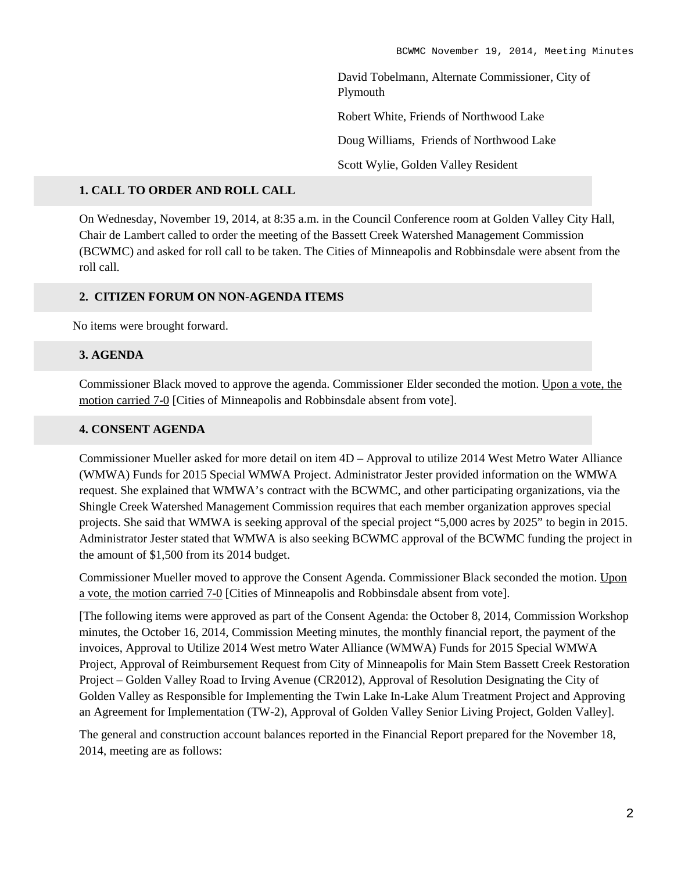David Tobelmann, Alternate Commissioner, City of Plymouth Robert White, Friends of Northwood Lake Doug Williams, Friends of Northwood Lake Scott Wylie, Golden Valley Resident

### **1. CALL TO ORDER AND ROLL CALL**

On Wednesday, November 19, 2014, at 8:35 a.m. in the Council Conference room at Golden Valley City Hall, Chair de Lambert called to order the meeting of the Bassett Creek Watershed Management Commission (BCWMC) and asked for roll call to be taken. The Cities of Minneapolis and Robbinsdale were absent from the roll call.

#### **2. CITIZEN FORUM ON NON-AGENDA ITEMS**

No items were brought forward.

#### **3. AGENDA**

Commissioner Black moved to approve the agenda. Commissioner Elder seconded the motion. Upon a vote, the motion carried 7-0 [Cities of Minneapolis and Robbinsdale absent from vote].

## **4. CONSENT AGENDA**

Commissioner Mueller asked for more detail on item 4D – Approval to utilize 2014 West Metro Water Alliance (WMWA) Funds for 2015 Special WMWA Project. Administrator Jester provided information on the WMWA request. She explained that WMWA's contract with the BCWMC, and other participating organizations, via the Shingle Creek Watershed Management Commission requires that each member organization approves special projects. She said that WMWA is seeking approval of the special project "5,000 acres by 2025" to begin in 2015. Administrator Jester stated that WMWA is also seeking BCWMC approval of the BCWMC funding the project in the amount of \$1,500 from its 2014 budget.

Commissioner Mueller moved to approve the Consent Agenda. Commissioner Black seconded the motion. Upon a vote, the motion carried 7-0 [Cities of Minneapolis and Robbinsdale absent from vote].

[The following items were approved as part of the Consent Agenda: the October 8, 2014, Commission Workshop minutes, the October 16, 2014, Commission Meeting minutes, the monthly financial report, the payment of the invoices, Approval to Utilize 2014 West metro Water Alliance (WMWA) Funds for 2015 Special WMWA Project, Approval of Reimbursement Request from City of Minneapolis for Main Stem Bassett Creek Restoration Project – Golden Valley Road to Irving Avenue (CR2012), Approval of Resolution Designating the City of Golden Valley as Responsible for Implementing the Twin Lake In-Lake Alum Treatment Project and Approving an Agreement for Implementation (TW-2), Approval of Golden Valley Senior Living Project, Golden Valley].

The general and construction account balances reported in the Financial Report prepared for the November 18, 2014, meeting are as follows: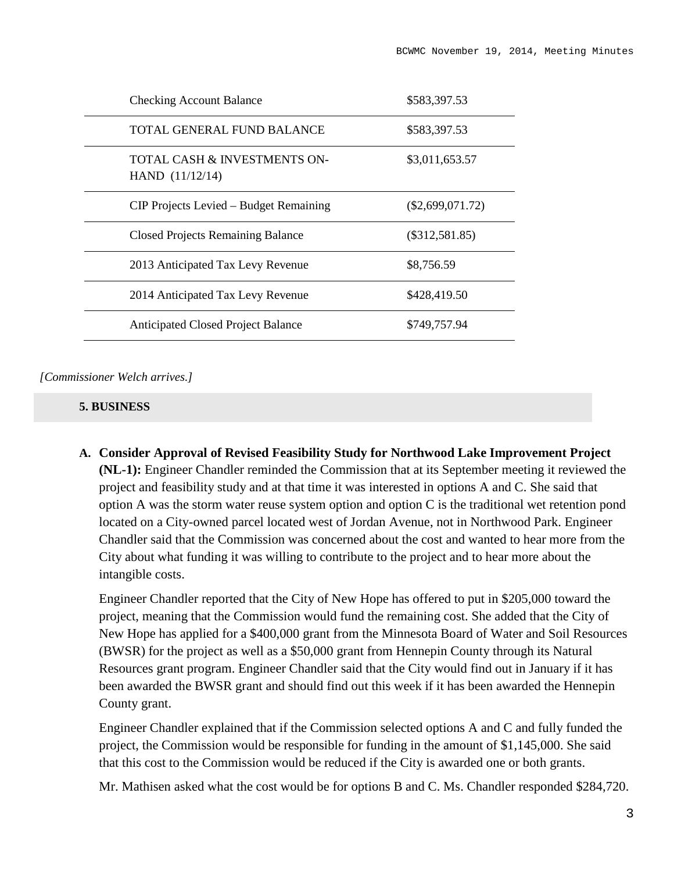| <b>Checking Account Balance</b>                   | \$583,397.53       |
|---------------------------------------------------|--------------------|
| TOTAL GENERAL FUND BALANCE                        | \$583,397.53       |
| TOTAL CASH & INVESTMENTS ON-<br>HAND $(11/12/14)$ | \$3,011,653.57     |
| CIP Projects Levied – Budget Remaining            | $(\$2,699,071.72)$ |
| <b>Closed Projects Remaining Balance</b>          | $(\$312,581.85)$   |
| 2013 Anticipated Tax Levy Revenue                 | \$8,756.59         |
| 2014 Anticipated Tax Levy Revenue                 | \$428,419.50       |
| <b>Anticipated Closed Project Balance</b>         | \$749,757.94       |

*[Commissioner Welch arrives.]*

## **5. BUSINESS**

**A. Consider Approval of Revised Feasibility Study for Northwood Lake Improvement Project (NL-1):** Engineer Chandler reminded the Commission that at its September meeting it reviewed the project and feasibility study and at that time it was interested in options A and C. She said that option A was the storm water reuse system option and option C is the traditional wet retention pond located on a City-owned parcel located west of Jordan Avenue, not in Northwood Park. Engineer Chandler said that the Commission was concerned about the cost and wanted to hear more from the City about what funding it was willing to contribute to the project and to hear more about the intangible costs.

Engineer Chandler reported that the City of New Hope has offered to put in \$205,000 toward the project, meaning that the Commission would fund the remaining cost. She added that the City of New Hope has applied for a \$400,000 grant from the Minnesota Board of Water and Soil Resources (BWSR) for the project as well as a \$50,000 grant from Hennepin County through its Natural Resources grant program. Engineer Chandler said that the City would find out in January if it has been awarded the BWSR grant and should find out this week if it has been awarded the Hennepin County grant.

Engineer Chandler explained that if the Commission selected options A and C and fully funded the project, the Commission would be responsible for funding in the amount of \$1,145,000. She said that this cost to the Commission would be reduced if the City is awarded one or both grants.

Mr. Mathisen asked what the cost would be for options B and C. Ms. Chandler responded \$284,720.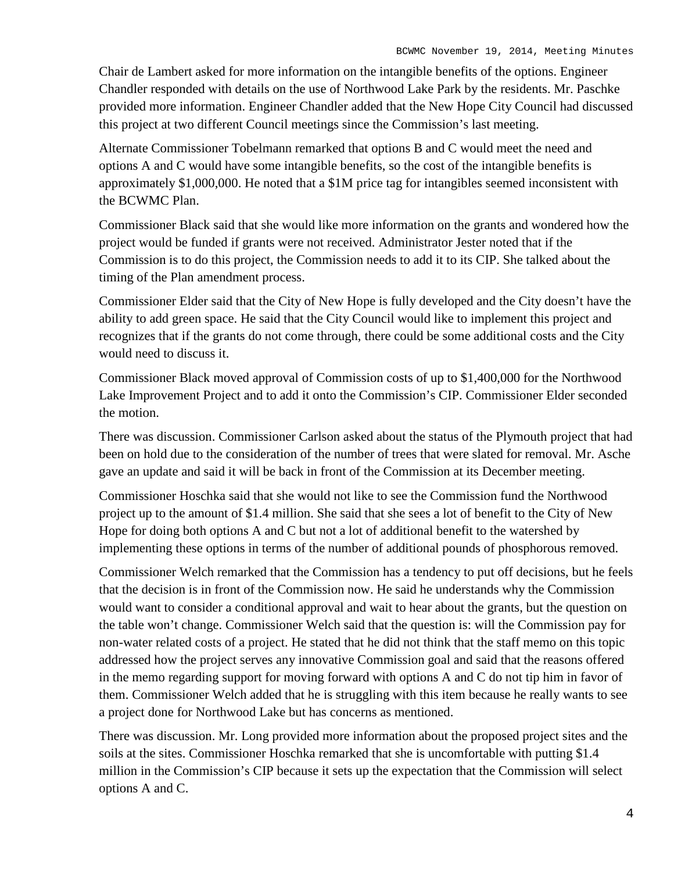Chair de Lambert asked for more information on the intangible benefits of the options. Engineer Chandler responded with details on the use of Northwood Lake Park by the residents. Mr. Paschke provided more information. Engineer Chandler added that the New Hope City Council had discussed this project at two different Council meetings since the Commission's last meeting.

Alternate Commissioner Tobelmann remarked that options B and C would meet the need and options A and C would have some intangible benefits, so the cost of the intangible benefits is approximately \$1,000,000. He noted that a \$1M price tag for intangibles seemed inconsistent with the BCWMC Plan.

Commissioner Black said that she would like more information on the grants and wondered how the project would be funded if grants were not received. Administrator Jester noted that if the Commission is to do this project, the Commission needs to add it to its CIP. She talked about the timing of the Plan amendment process.

Commissioner Elder said that the City of New Hope is fully developed and the City doesn't have the ability to add green space. He said that the City Council would like to implement this project and recognizes that if the grants do not come through, there could be some additional costs and the City would need to discuss it.

Commissioner Black moved approval of Commission costs of up to \$1,400,000 for the Northwood Lake Improvement Project and to add it onto the Commission's CIP. Commissioner Elder seconded the motion.

There was discussion. Commissioner Carlson asked about the status of the Plymouth project that had been on hold due to the consideration of the number of trees that were slated for removal. Mr. Asche gave an update and said it will be back in front of the Commission at its December meeting.

Commissioner Hoschka said that she would not like to see the Commission fund the Northwood project up to the amount of \$1.4 million. She said that she sees a lot of benefit to the City of New Hope for doing both options A and C but not a lot of additional benefit to the watershed by implementing these options in terms of the number of additional pounds of phosphorous removed.

Commissioner Welch remarked that the Commission has a tendency to put off decisions, but he feels that the decision is in front of the Commission now. He said he understands why the Commission would want to consider a conditional approval and wait to hear about the grants, but the question on the table won't change. Commissioner Welch said that the question is: will the Commission pay for non-water related costs of a project. He stated that he did not think that the staff memo on this topic addressed how the project serves any innovative Commission goal and said that the reasons offered in the memo regarding support for moving forward with options A and C do not tip him in favor of them. Commissioner Welch added that he is struggling with this item because he really wants to see a project done for Northwood Lake but has concerns as mentioned.

There was discussion. Mr. Long provided more information about the proposed project sites and the soils at the sites. Commissioner Hoschka remarked that she is uncomfortable with putting \$1.4 million in the Commission's CIP because it sets up the expectation that the Commission will select options A and C.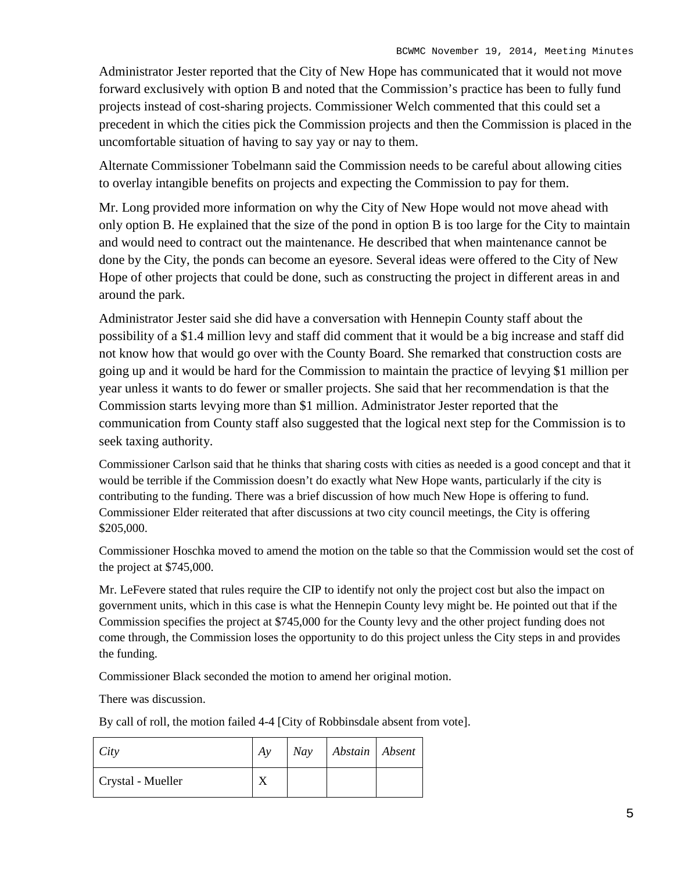Administrator Jester reported that the City of New Hope has communicated that it would not move forward exclusively with option B and noted that the Commission's practice has been to fully fund projects instead of cost-sharing projects. Commissioner Welch commented that this could set a precedent in which the cities pick the Commission projects and then the Commission is placed in the uncomfortable situation of having to say yay or nay to them.

Alternate Commissioner Tobelmann said the Commission needs to be careful about allowing cities to overlay intangible benefits on projects and expecting the Commission to pay for them.

Mr. Long provided more information on why the City of New Hope would not move ahead with only option B. He explained that the size of the pond in option B is too large for the City to maintain and would need to contract out the maintenance. He described that when maintenance cannot be done by the City, the ponds can become an eyesore. Several ideas were offered to the City of New Hope of other projects that could be done, such as constructing the project in different areas in and around the park.

Administrator Jester said she did have a conversation with Hennepin County staff about the possibility of a \$1.4 million levy and staff did comment that it would be a big increase and staff did not know how that would go over with the County Board. She remarked that construction costs are going up and it would be hard for the Commission to maintain the practice of levying \$1 million per year unless it wants to do fewer or smaller projects. She said that her recommendation is that the Commission starts levying more than \$1 million. Administrator Jester reported that the communication from County staff also suggested that the logical next step for the Commission is to seek taxing authority.

Commissioner Carlson said that he thinks that sharing costs with cities as needed is a good concept and that it would be terrible if the Commission doesn't do exactly what New Hope wants, particularly if the city is contributing to the funding. There was a brief discussion of how much New Hope is offering to fund. Commissioner Elder reiterated that after discussions at two city council meetings, the City is offering \$205,000.

Commissioner Hoschka moved to amend the motion on the table so that the Commission would set the cost of the project at \$745,000.

Mr. LeFevere stated that rules require the CIP to identify not only the project cost but also the impact on government units, which in this case is what the Hennepin County levy might be. He pointed out that if the Commission specifies the project at \$745,000 for the County levy and the other project funding does not come through, the Commission loses the opportunity to do this project unless the City steps in and provides the funding.

Commissioner Black seconded the motion to amend her original motion.

There was discussion.

By call of roll, the motion failed 4-4 [City of Robbinsdale absent from vote].

| City              | Av | Nay Abstain Absent |  |
|-------------------|----|--------------------|--|
| Crystal - Mueller |    |                    |  |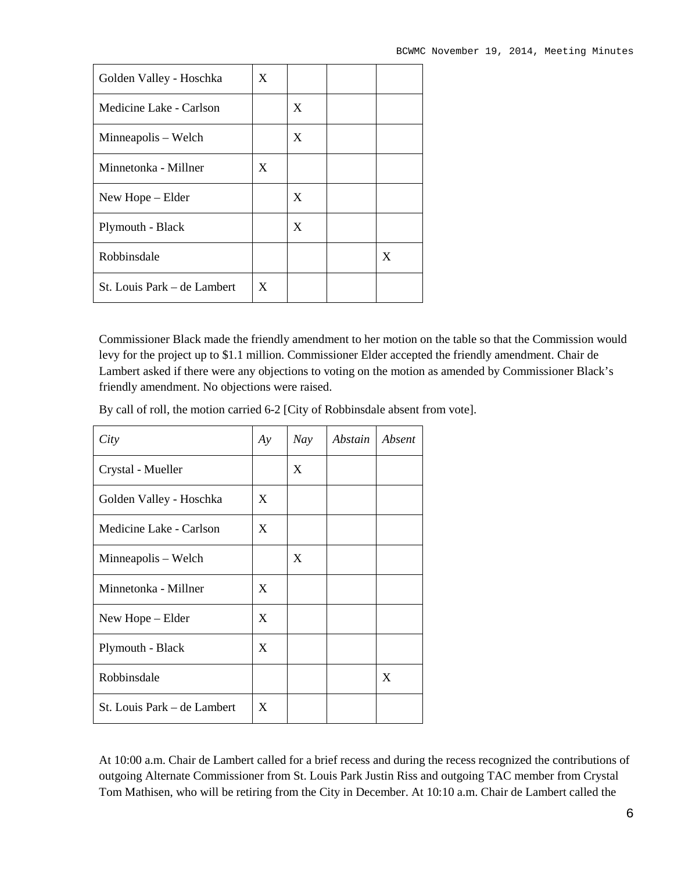| Golden Valley - Hoschka     | X |   |   |
|-----------------------------|---|---|---|
| Medicine Lake - Carlson     |   | X |   |
| Minneapolis – Welch         |   | X |   |
| Minnetonka - Millner        | X |   |   |
| New Hope – Elder            |   | X |   |
| Plymouth - Black            |   | X |   |
| Robbinsdale                 |   |   | X |
| St. Louis Park – de Lambert | X |   |   |

Commissioner Black made the friendly amendment to her motion on the table so that the Commission would levy for the project up to \$1.1 million. Commissioner Elder accepted the friendly amendment. Chair de Lambert asked if there were any objections to voting on the motion as amended by Commissioner Black's friendly amendment. No objections were raised.

By call of roll, the motion carried 6-2 [City of Robbinsdale absent from vote].

| City                        | Ay | Nay | Abstain | Absent |
|-----------------------------|----|-----|---------|--------|
| Crystal - Mueller           |    | X   |         |        |
| Golden Valley - Hoschka     | X  |     |         |        |
| Medicine Lake - Carlson     | X  |     |         |        |
| Minneapolis – Welch         |    | X   |         |        |
| Minnetonka - Millner        | X  |     |         |        |
| New Hope – Elder            | X  |     |         |        |
| Plymouth - Black            | X  |     |         |        |
| Robbinsdale                 |    |     |         | X      |
| St. Louis Park - de Lambert | X  |     |         |        |

At 10:00 a.m. Chair de Lambert called for a brief recess and during the recess recognized the contributions of outgoing Alternate Commissioner from St. Louis Park Justin Riss and outgoing TAC member from Crystal Tom Mathisen, who will be retiring from the City in December. At 10:10 a.m. Chair de Lambert called the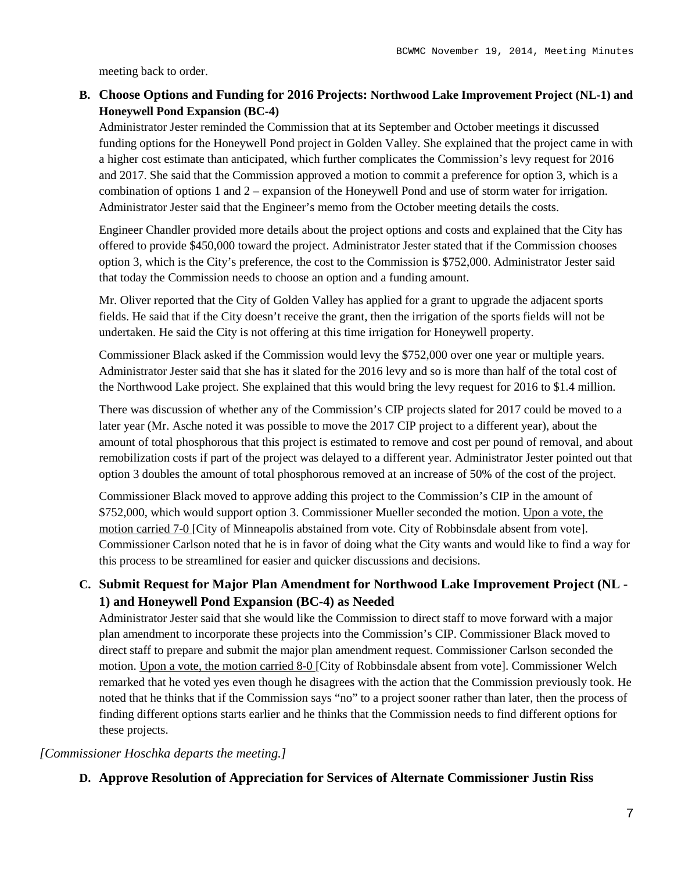meeting back to order.

# **B. Choose Options and Funding for 2016 Projects: Northwood Lake Improvement Project (NL-1) and Honeywell Pond Expansion (BC-4)**

Administrator Jester reminded the Commission that at its September and October meetings it discussed funding options for the Honeywell Pond project in Golden Valley. She explained that the project came in with a higher cost estimate than anticipated, which further complicates the Commission's levy request for 2016 and 2017. She said that the Commission approved a motion to commit a preference for option 3, which is a combination of options 1 and 2 – expansion of the Honeywell Pond and use of storm water for irrigation. Administrator Jester said that the Engineer's memo from the October meeting details the costs.

Engineer Chandler provided more details about the project options and costs and explained that the City has offered to provide \$450,000 toward the project. Administrator Jester stated that if the Commission chooses option 3, which is the City's preference, the cost to the Commission is \$752,000. Administrator Jester said that today the Commission needs to choose an option and a funding amount.

Mr. Oliver reported that the City of Golden Valley has applied for a grant to upgrade the adjacent sports fields. He said that if the City doesn't receive the grant, then the irrigation of the sports fields will not be undertaken. He said the City is not offering at this time irrigation for Honeywell property.

Commissioner Black asked if the Commission would levy the \$752,000 over one year or multiple years. Administrator Jester said that she has it slated for the 2016 levy and so is more than half of the total cost of the Northwood Lake project. She explained that this would bring the levy request for 2016 to \$1.4 million.

There was discussion of whether any of the Commission's CIP projects slated for 2017 could be moved to a later year (Mr. Asche noted it was possible to move the 2017 CIP project to a different year), about the amount of total phosphorous that this project is estimated to remove and cost per pound of removal, and about remobilization costs if part of the project was delayed to a different year. Administrator Jester pointed out that option 3 doubles the amount of total phosphorous removed at an increase of 50% of the cost of the project.

Commissioner Black moved to approve adding this project to the Commission's CIP in the amount of \$752,000, which would support option 3. Commissioner Mueller seconded the motion. Upon a vote, the motion carried 7-0 [City of Minneapolis abstained from vote. City of Robbinsdale absent from vote]. Commissioner Carlson noted that he is in favor of doing what the City wants and would like to find a way for this process to be streamlined for easier and quicker discussions and decisions.

# **C. Submit Request for Major Plan Amendment for Northwood Lake Improvement Project (NL - 1) and Honeywell Pond Expansion (BC-4) as Needed**

Administrator Jester said that she would like the Commission to direct staff to move forward with a major plan amendment to incorporate these projects into the Commission's CIP. Commissioner Black moved to direct staff to prepare and submit the major plan amendment request. Commissioner Carlson seconded the motion. Upon a vote, the motion carried 8-0 [City of Robbinsdale absent from vote]. Commissioner Welch remarked that he voted yes even though he disagrees with the action that the Commission previously took. He noted that he thinks that if the Commission says "no" to a project sooner rather than later, then the process of finding different options starts earlier and he thinks that the Commission needs to find different options for these projects.

# *[Commissioner Hoschka departs the meeting.]*

**D. Approve Resolution of Appreciation for Services of Alternate Commissioner Justin Riss**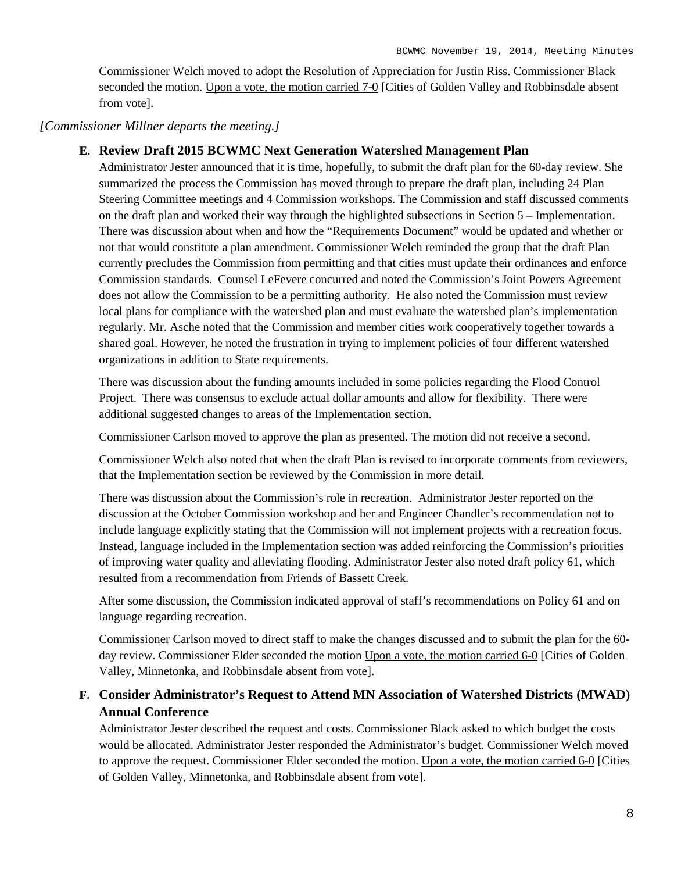Commissioner Welch moved to adopt the Resolution of Appreciation for Justin Riss. Commissioner Black seconded the motion. Upon a vote, the motion carried 7-0 [Cities of Golden Valley and Robbinsdale absent from vote].

# *[Commissioner Millner departs the meeting.]*

# **E. Review Draft 2015 BCWMC Next Generation Watershed Management Plan**

Administrator Jester announced that it is time, hopefully, to submit the draft plan for the 60-day review. She summarized the process the Commission has moved through to prepare the draft plan, including 24 Plan Steering Committee meetings and 4 Commission workshops. The Commission and staff discussed comments on the draft plan and worked their way through the highlighted subsections in Section 5 – Implementation. There was discussion about when and how the "Requirements Document" would be updated and whether or not that would constitute a plan amendment. Commissioner Welch reminded the group that the draft Plan currently precludes the Commission from permitting and that cities must update their ordinances and enforce Commission standards. Counsel LeFevere concurred and noted the Commission's Joint Powers Agreement does not allow the Commission to be a permitting authority. He also noted the Commission must review local plans for compliance with the watershed plan and must evaluate the watershed plan's implementation regularly. Mr. Asche noted that the Commission and member cities work cooperatively together towards a shared goal. However, he noted the frustration in trying to implement policies of four different watershed organizations in addition to State requirements.

There was discussion about the funding amounts included in some policies regarding the Flood Control Project. There was consensus to exclude actual dollar amounts and allow for flexibility. There were additional suggested changes to areas of the Implementation section.

Commissioner Carlson moved to approve the plan as presented. The motion did not receive a second.

Commissioner Welch also noted that when the draft Plan is revised to incorporate comments from reviewers, that the Implementation section be reviewed by the Commission in more detail.

There was discussion about the Commission's role in recreation. Administrator Jester reported on the discussion at the October Commission workshop and her and Engineer Chandler's recommendation not to include language explicitly stating that the Commission will not implement projects with a recreation focus. Instead, language included in the Implementation section was added reinforcing the Commission's priorities of improving water quality and alleviating flooding. Administrator Jester also noted draft policy 61, which resulted from a recommendation from Friends of Bassett Creek.

After some discussion, the Commission indicated approval of staff's recommendations on Policy 61 and on language regarding recreation.

Commissioner Carlson moved to direct staff to make the changes discussed and to submit the plan for the 60 day review. Commissioner Elder seconded the motion Upon a vote, the motion carried 6-0 [Cities of Golden Valley, Minnetonka, and Robbinsdale absent from vote].

# **F. Consider Administrator's Request to Attend MN Association of Watershed Districts (MWAD) Annual Conference**

Administrator Jester described the request and costs. Commissioner Black asked to which budget the costs would be allocated. Administrator Jester responded the Administrator's budget. Commissioner Welch moved to approve the request. Commissioner Elder seconded the motion. Upon a vote, the motion carried 6-0 [Cities of Golden Valley, Minnetonka, and Robbinsdale absent from vote].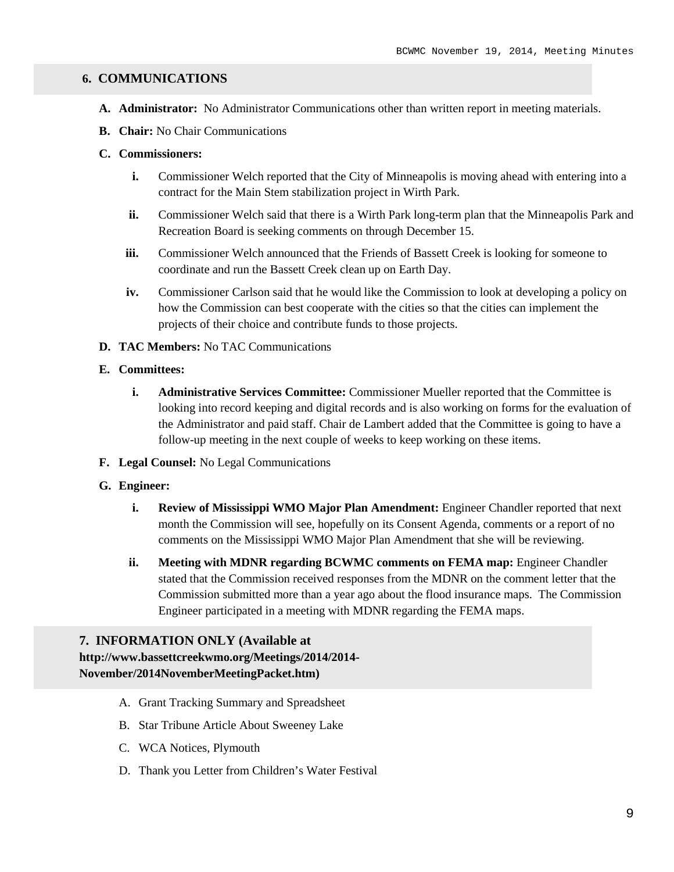### **6. COMMUNICATIONS**

- **A. Administrator:** No Administrator Communications other than written report in meeting materials.
- **B. Chair:** No Chair Communications

### **C. Commissioners:**

- **i.** Commissioner Welch reported that the City of Minneapolis is moving ahead with entering into a contract for the Main Stem stabilization project in Wirth Park.
- **ii.** Commissioner Welch said that there is a Wirth Park long-term plan that the Minneapolis Park and Recreation Board is seeking comments on through December 15.
- iii. Commissioner Welch announced that the Friends of Bassett Creek is looking for someone to coordinate and run the Bassett Creek clean up on Earth Day.
- **iv.** Commissioner Carlson said that he would like the Commission to look at developing a policy on how the Commission can best cooperate with the cities so that the cities can implement the projects of their choice and contribute funds to those projects.

#### **D. TAC Members:** No TAC Communications

#### **E. Committees:**

- **i. Administrative Services Committee:** Commissioner Mueller reported that the Committee is looking into record keeping and digital records and is also working on forms for the evaluation of the Administrator and paid staff. Chair de Lambert added that the Committee is going to have a follow-up meeting in the next couple of weeks to keep working on these items.
- **F. Legal Counsel:** No Legal Communications

#### **G. Engineer:**

- **i. Review of Mississippi WMO Major Plan Amendment:** Engineer Chandler reported that next month the Commission will see, hopefully on its Consent Agenda, comments or a report of no comments on the Mississippi WMO Major Plan Amendment that she will be reviewing.
- **ii. Meeting with MDNR regarding BCWMC comments on FEMA map:** Engineer Chandler stated that the Commission received responses from the MDNR on the comment letter that the Commission submitted more than a year ago about the flood insurance maps. The Commission Engineer participated in a meeting with MDNR regarding the FEMA maps.

# **7. INFORMATION ONLY (Available at**

**http://www.bassettcreekwmo.org/Meetings/2014/2014- November/2014NovemberMeetingPacket.htm)**

- A. Grant Tracking Summary and Spreadsheet
- B. Star Tribune Article About Sweeney Lake
- C. WCA Notices, Plymouth
- D. Thank you Letter from Children's Water Festival